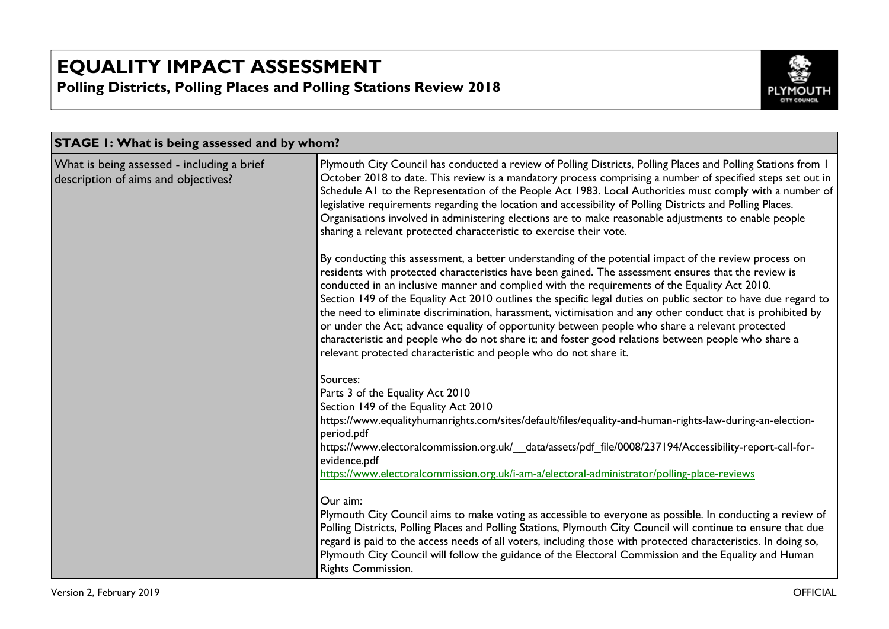

| <b>STAGE 1: What is being assessed and by whom?</b>                               |                                                                                                                                                                                                                                                                                                                                                                                                                                                                                                                                                                                                                                                                                                                                                                                                                                 |
|-----------------------------------------------------------------------------------|---------------------------------------------------------------------------------------------------------------------------------------------------------------------------------------------------------------------------------------------------------------------------------------------------------------------------------------------------------------------------------------------------------------------------------------------------------------------------------------------------------------------------------------------------------------------------------------------------------------------------------------------------------------------------------------------------------------------------------------------------------------------------------------------------------------------------------|
| What is being assessed - including a brief<br>description of aims and objectives? | Plymouth City Council has conducted a review of Polling Districts, Polling Places and Polling Stations from 1<br>October 2018 to date. This review is a mandatory process comprising a number of specified steps set out in<br>Schedule A1 to the Representation of the People Act 1983. Local Authorities must comply with a number of  <br>legislative requirements regarding the location and accessibility of Polling Districts and Polling Places.<br>Organisations involved in administering elections are to make reasonable adjustments to enable people<br>sharing a relevant protected characteristic to exercise their vote.                                                                                                                                                                                         |
|                                                                                   | By conducting this assessment, a better understanding of the potential impact of the review process on<br>residents with protected characteristics have been gained. The assessment ensures that the review is<br>conducted in an inclusive manner and complied with the requirements of the Equality Act 2010.<br>Section 149 of the Equality Act 2010 outlines the specific legal duties on public sector to have due regard to<br>the need to eliminate discrimination, harassment, victimisation and any other conduct that is prohibited by<br>or under the Act; advance equality of opportunity between people who share a relevant protected<br>characteristic and people who do not share it; and foster good relations between people who share a<br>relevant protected characteristic and people who do not share it. |
|                                                                                   | Sources:<br>Parts 3 of the Equality Act 2010<br>Section 149 of the Equality Act 2010<br>https://www.equalityhumanrights.com/sites/default/files/equality-and-human-rights-law-during-an-election-<br>period.pdf<br>https://www.electoralcommission.org.uk/ data/assets/pdf file/0008/237194/Accessibility-report-call-for-<br>evidence.pdf<br>https://www.electoralcommission.org.uk/i-am-a/electoral-administrator/polling-place-reviews                                                                                                                                                                                                                                                                                                                                                                                       |
|                                                                                   | Our aim:<br>Plymouth City Council aims to make voting as accessible to everyone as possible. In conducting a review of<br>Polling Districts, Polling Places and Polling Stations, Plymouth City Council will continue to ensure that due<br>regard is paid to the access needs of all voters, including those with protected characteristics. In doing so,<br>Plymouth City Council will follow the guidance of the Electoral Commission and the Equality and Human<br>Rights Commission.                                                                                                                                                                                                                                                                                                                                       |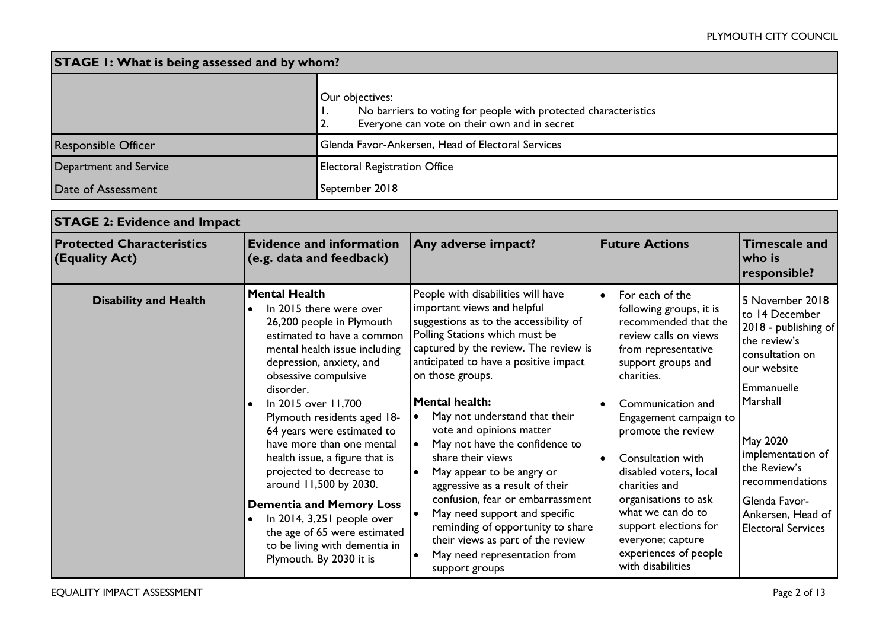| <b>STAGE 1: What is being assessed and by whom?</b> |                                                                                                                                          |  |  |
|-----------------------------------------------------|------------------------------------------------------------------------------------------------------------------------------------------|--|--|
|                                                     | Our objectives:<br>No barriers to voting for people with protected characteristics<br>Everyone can vote on their own and in secret<br>2. |  |  |
| <b>Responsible Officer</b>                          | Glenda Favor-Ankersen, Head of Electoral Services                                                                                        |  |  |
| Department and Service                              | Electoral Registration Office                                                                                                            |  |  |
| Date of Assessment                                  | September 2018                                                                                                                           |  |  |

| <b>STAGE 2: Evidence and Impact</b>                |                                                                                                                                                                                                                                                                                                                                                                                                                                                                                                                                                                                    |                                                                                                                                                                                                                                                                                                                                                                                                                                                                                                                                                                                                                                                                   |                                                                                                                                                                                                                                                                                                                                                                                                                                                                             |                                                                                                                                                                                                                                                                              |
|----------------------------------------------------|------------------------------------------------------------------------------------------------------------------------------------------------------------------------------------------------------------------------------------------------------------------------------------------------------------------------------------------------------------------------------------------------------------------------------------------------------------------------------------------------------------------------------------------------------------------------------------|-------------------------------------------------------------------------------------------------------------------------------------------------------------------------------------------------------------------------------------------------------------------------------------------------------------------------------------------------------------------------------------------------------------------------------------------------------------------------------------------------------------------------------------------------------------------------------------------------------------------------------------------------------------------|-----------------------------------------------------------------------------------------------------------------------------------------------------------------------------------------------------------------------------------------------------------------------------------------------------------------------------------------------------------------------------------------------------------------------------------------------------------------------------|------------------------------------------------------------------------------------------------------------------------------------------------------------------------------------------------------------------------------------------------------------------------------|
| <b>Protected Characteristics</b><br>(Equality Act) | <b>Evidence and information</b><br>(e.g. data and feedback)                                                                                                                                                                                                                                                                                                                                                                                                                                                                                                                        | Any adverse impact?                                                                                                                                                                                                                                                                                                                                                                                                                                                                                                                                                                                                                                               | <b>Future Actions</b>                                                                                                                                                                                                                                                                                                                                                                                                                                                       | <b>Timescale and</b><br>$\overline{\mathsf{w}}$ ho is<br>responsible?                                                                                                                                                                                                        |
| <b>Disability and Health</b>                       | <b>Mental Health</b><br>In 2015 there were over<br>26,200 people in Plymouth<br>estimated to have a common<br>mental health issue including<br>depression, anxiety, and<br>obsessive compulsive<br>disorder.<br>In 2015 over 11,700<br>Plymouth residents aged 18-<br>64 years were estimated to<br>have more than one mental<br>health issue, a figure that is<br>projected to decrease to<br>around 11,500 by 2030.<br><b>Dementia and Memory Loss</b><br>In 2014, 3,251 people over<br>the age of 65 were estimated<br>to be living with dementia in<br>Plymouth. By 2030 it is | People with disabilities will have<br>important views and helpful<br>suggestions as to the accessibility of<br>Polling Stations which must be<br>captured by the review. The review is<br>anticipated to have a positive impact<br>on those groups.<br><b>Mental health:</b><br>May not understand that their<br>vote and opinions matter<br>May not have the confidence to<br>share their views<br>May appear to be angry or<br>aggressive as a result of their<br>confusion, fear or embarrassment<br>May need support and specific<br>reminding of opportunity to share<br>their views as part of the review<br>May need representation from<br>support groups | For each of the<br>$\bullet$<br>following groups, it is<br>recommended that the<br>review calls on views<br>from representative<br>support groups and<br>charities.<br>Communication and<br>$\bullet$<br>Engagement campaign to<br>promote the review<br>Consultation with<br>$\bullet$<br>disabled voters, local<br>charities and<br>organisations to ask<br>what we can do to<br>support elections for<br>everyone; capture<br>experiences of people<br>with disabilities | 5 November 2018<br>to 14 December<br>2018 - publishing of<br>the review's<br>consultation on<br>our website<br>Emmanuelle<br>Marshall<br>May 2020<br>implementation of<br>the Review's<br>recommendations<br>Glenda Favor-<br>Ankersen, Head of<br><b>Electoral Services</b> |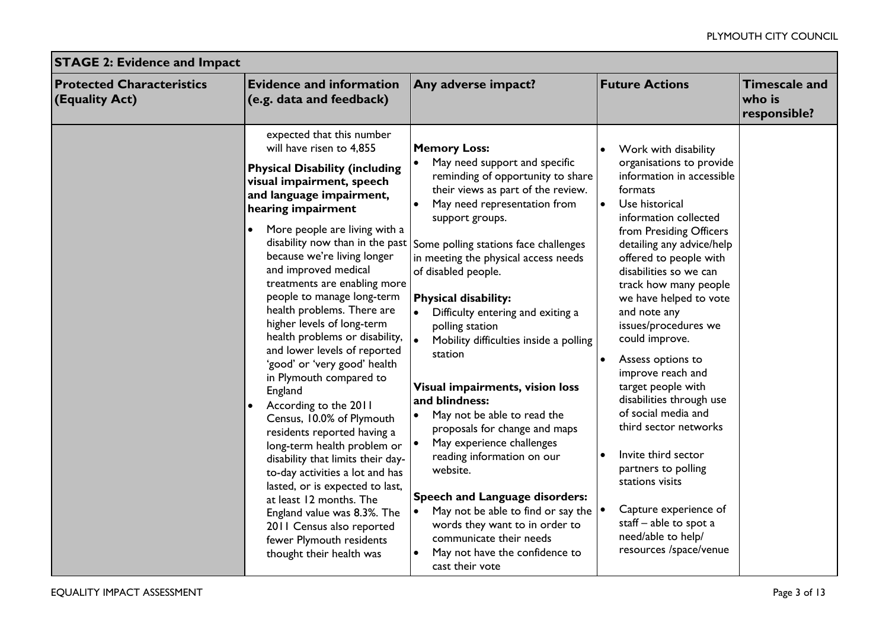| <b>STAGE 2: Evidence and Impact</b>                    |                                                                                                                                                                                                                                                                                                                                                                                                                                                                                                                                                                                                                                                                                                                                                                                                                                                                                                                                                                                         |                                                                                                                                                                                                                                                                                                                                                                                                                                                                                                                                                                                                                                                                                                                                                                                                                                                                                        |                                                                                                                                                                                                                                                                                                                                                                                                                                                                                                                                                                                                                                                                                                                     |                                                |  |
|--------------------------------------------------------|-----------------------------------------------------------------------------------------------------------------------------------------------------------------------------------------------------------------------------------------------------------------------------------------------------------------------------------------------------------------------------------------------------------------------------------------------------------------------------------------------------------------------------------------------------------------------------------------------------------------------------------------------------------------------------------------------------------------------------------------------------------------------------------------------------------------------------------------------------------------------------------------------------------------------------------------------------------------------------------------|----------------------------------------------------------------------------------------------------------------------------------------------------------------------------------------------------------------------------------------------------------------------------------------------------------------------------------------------------------------------------------------------------------------------------------------------------------------------------------------------------------------------------------------------------------------------------------------------------------------------------------------------------------------------------------------------------------------------------------------------------------------------------------------------------------------------------------------------------------------------------------------|---------------------------------------------------------------------------------------------------------------------------------------------------------------------------------------------------------------------------------------------------------------------------------------------------------------------------------------------------------------------------------------------------------------------------------------------------------------------------------------------------------------------------------------------------------------------------------------------------------------------------------------------------------------------------------------------------------------------|------------------------------------------------|--|
| <b>Protected Characteristics</b><br>$ $ (Equality Act) | <b>Evidence and information</b><br>(e.g. data and feedback)                                                                                                                                                                                                                                                                                                                                                                                                                                                                                                                                                                                                                                                                                                                                                                                                                                                                                                                             | Any adverse impact?                                                                                                                                                                                                                                                                                                                                                                                                                                                                                                                                                                                                                                                                                                                                                                                                                                                                    | <b>Future Actions</b>                                                                                                                                                                                                                                                                                                                                                                                                                                                                                                                                                                                                                                                                                               | <b>Timescale and</b><br>who is<br>responsible? |  |
|                                                        | expected that this number<br>will have risen to 4,855<br><b>Physical Disability (including</b><br>visual impairment, speech<br>and language impairment,<br>hearing impairment<br>More people are living with a<br>$\bullet$<br>disability now than in the past<br>because we're living longer<br>and improved medical<br>treatments are enabling more<br>people to manage long-term<br>health problems. There are<br>higher levels of long-term<br>health problems or disability, $\vert_{\bullet}$<br>and lower levels of reported<br>'good' or 'very good' health<br>in Plymouth compared to<br>England<br>According to the 2011<br>Census, 10.0% of Plymouth<br>residents reported having a<br>long-term health problem or<br>disability that limits their day-<br>to-day activities a lot and has<br>lasted, or is expected to last,<br>at least 12 months. The<br>England value was 8.3%. The<br>2011 Census also reported<br>fewer Plymouth residents<br>thought their health was | <b>Memory Loss:</b><br>May need support and specific<br>reminding of opportunity to share<br>their views as part of the review.<br>May need representation from<br>$\bullet$<br>support groups.<br>Some polling stations face challenges<br>in meeting the physical access needs<br>of disabled people.<br><b>Physical disability:</b><br>Difficulty entering and exiting a<br>polling station<br>Mobility difficulties inside a polling<br>station<br>Visual impairments, vision loss<br>and blindness:<br>May not be able to read the<br>$\bullet$<br>proposals for change and maps<br>May experience challenges<br>reading information on our<br>website.<br><b>Speech and Language disorders:</b><br>May not be able to find or say the $  \cdot  $<br>$\bullet$<br>words they want to in order to<br>communicate their needs<br>May not have the confidence to<br>cast their vote | Work with disability<br>$\bullet$<br>organisations to provide<br>information in accessible<br>formats<br>Use historical<br>$\bullet$<br>information collected<br>from Presiding Officers<br>detailing any advice/help<br>offered to people with<br>disabilities so we can<br>track how many people<br>we have helped to vote<br>and note any<br>issues/procedures we<br>could improve.<br>Assess options to<br>$\bullet$<br>improve reach and<br>target people with<br>disabilities through use<br>of social media and<br>third sector networks<br>Invite third sector<br>partners to polling<br>stations visits<br>Capture experience of<br>staff - able to spot a<br>need/able to help/<br>resources /space/venue |                                                |  |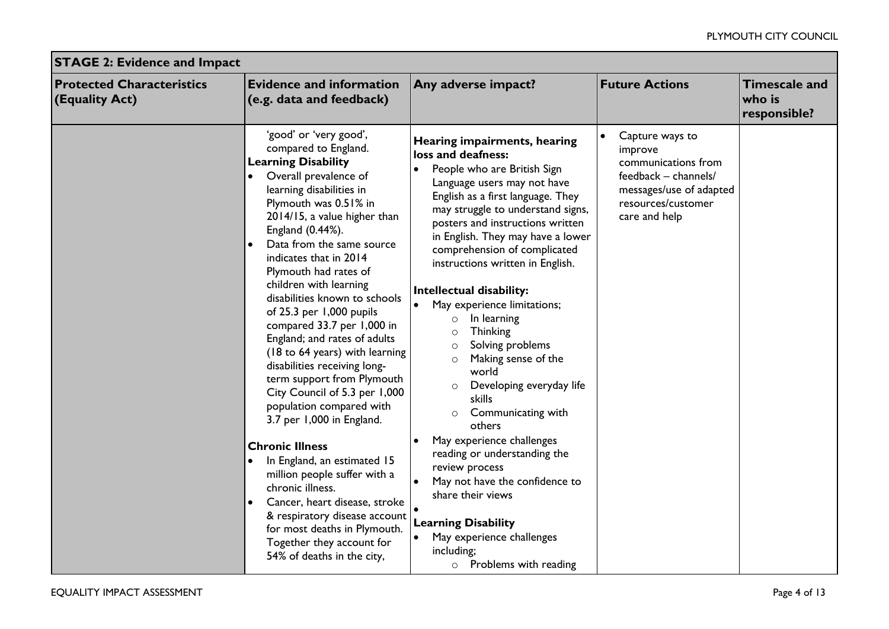| <b>STAGE 2: Evidence and Impact</b>                |                                                                                                                                                                                                                                                                                                                                                                                                                                                                                                                                                                                                                                                                                                                                                                                                                                                                                                                                      |                                                                                                                                                                                                                                                                                                                                                                                                                                                                                                                                                                                                                                                                                                                                                                                                                                                                                                              |                                                                                                                                             |                                                |  |
|----------------------------------------------------|--------------------------------------------------------------------------------------------------------------------------------------------------------------------------------------------------------------------------------------------------------------------------------------------------------------------------------------------------------------------------------------------------------------------------------------------------------------------------------------------------------------------------------------------------------------------------------------------------------------------------------------------------------------------------------------------------------------------------------------------------------------------------------------------------------------------------------------------------------------------------------------------------------------------------------------|--------------------------------------------------------------------------------------------------------------------------------------------------------------------------------------------------------------------------------------------------------------------------------------------------------------------------------------------------------------------------------------------------------------------------------------------------------------------------------------------------------------------------------------------------------------------------------------------------------------------------------------------------------------------------------------------------------------------------------------------------------------------------------------------------------------------------------------------------------------------------------------------------------------|---------------------------------------------------------------------------------------------------------------------------------------------|------------------------------------------------|--|
| <b>Protected Characteristics</b><br>(Equality Act) | <b>Evidence and information</b><br>(e.g. data and feedback)                                                                                                                                                                                                                                                                                                                                                                                                                                                                                                                                                                                                                                                                                                                                                                                                                                                                          | Any adverse impact?                                                                                                                                                                                                                                                                                                                                                                                                                                                                                                                                                                                                                                                                                                                                                                                                                                                                                          | <b>Future Actions</b>                                                                                                                       | <b>Timescale and</b><br>who is<br>responsible? |  |
|                                                    | 'good' or 'very good',<br>compared to England.<br><b>Learning Disability</b><br>Overall prevalence of<br>learning disabilities in<br>Plymouth was 0.51% in<br>2014/15, a value higher than<br>England (0.44%).<br>Data from the same source<br>indicates that in 2014<br>Plymouth had rates of<br>children with learning<br>disabilities known to schools<br>of 25.3 per 1,000 pupils<br>compared 33.7 per 1,000 in<br>England; and rates of adults<br>(18 to 64 years) with learning<br>disabilities receiving long-<br>term support from Plymouth<br>City Council of 5.3 per 1,000<br>population compared with<br>3.7 per 1,000 in England.<br><b>Chronic Illness</b><br>In England, an estimated 15<br>million people suffer with a<br>chronic illness.<br>Cancer, heart disease, stroke<br>$\bullet$<br>& respiratory disease account<br>for most deaths in Plymouth.<br>Together they account for<br>54% of deaths in the city, | Hearing impairments, hearing<br>loss and deafness:<br>People who are British Sign<br>$\bullet$<br>Language users may not have<br>English as a first language. They<br>may struggle to understand signs,<br>posters and instructions written<br>in English. They may have a lower<br>comprehension of complicated<br>instructions written in English.<br>Intellectual disability:<br>May experience limitations;<br>In learning<br>$\circ$<br><b>Thinking</b><br>$\circ$<br>Solving problems<br>$\circ$<br>Making sense of the<br>$\circ$<br>world<br>Developing everyday life<br>$\circ$<br>skills<br>Communicating with<br>others<br>May experience challenges<br>$\bullet$<br>reading or understanding the<br>review process<br>May not have the confidence to<br>share their views<br><b>Learning Disability</b><br>May experience challenges<br>$\bullet$<br>including;<br>$\circ$ Problems with reading | Capture ways to<br>improve<br>communications from<br>feedback - channels/<br>messages/use of adapted<br>resources/customer<br>care and help |                                                |  |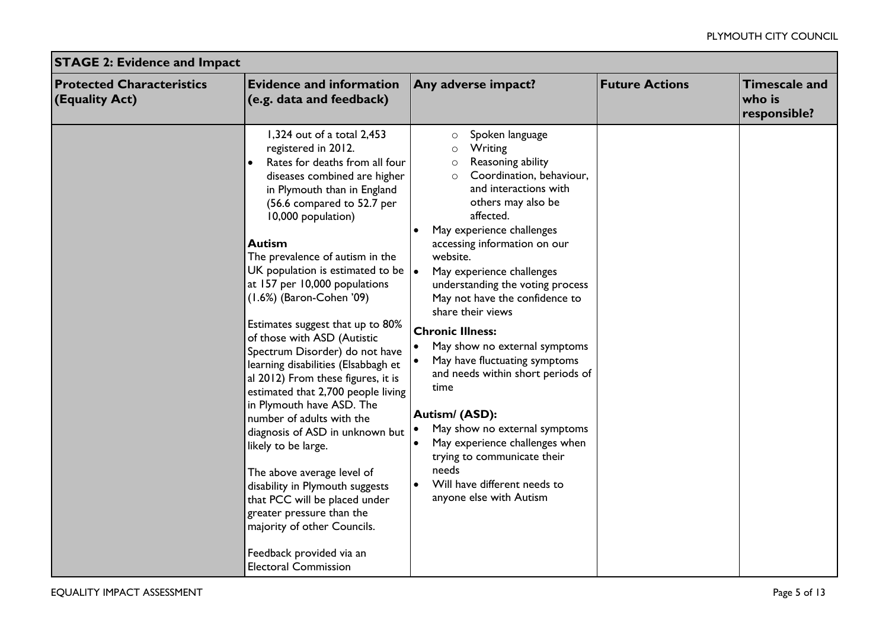| <b>STAGE 2: Evidence and Impact</b>                |                                                                                                                                                                                                                                                                                                                                                                                                                                                                                                                                                                                                                                                                                                                                                                                                                                                                                                                                                        |                                                                                                                                                                                                                                                                                                                                                                                                                                                                                                                                                                                                                                                                                                                                                                            |                       |                                                |  |
|----------------------------------------------------|--------------------------------------------------------------------------------------------------------------------------------------------------------------------------------------------------------------------------------------------------------------------------------------------------------------------------------------------------------------------------------------------------------------------------------------------------------------------------------------------------------------------------------------------------------------------------------------------------------------------------------------------------------------------------------------------------------------------------------------------------------------------------------------------------------------------------------------------------------------------------------------------------------------------------------------------------------|----------------------------------------------------------------------------------------------------------------------------------------------------------------------------------------------------------------------------------------------------------------------------------------------------------------------------------------------------------------------------------------------------------------------------------------------------------------------------------------------------------------------------------------------------------------------------------------------------------------------------------------------------------------------------------------------------------------------------------------------------------------------------|-----------------------|------------------------------------------------|--|
| <b>Protected Characteristics</b><br>(Equality Act) | <b>Evidence and information</b><br>(e.g. data and feedback)                                                                                                                                                                                                                                                                                                                                                                                                                                                                                                                                                                                                                                                                                                                                                                                                                                                                                            | Any adverse impact?                                                                                                                                                                                                                                                                                                                                                                                                                                                                                                                                                                                                                                                                                                                                                        | <b>Future Actions</b> | <b>Timescale and</b><br>who is<br>responsible? |  |
|                                                    | 1,324 out of a total 2,453<br>registered in 2012.<br>Rates for deaths from all four<br>diseases combined are higher<br>in Plymouth than in England<br>(56.6 compared to 52.7 per<br>10,000 population)<br><b>Autism</b><br>The prevalence of autism in the<br>UK population is estimated to be $\vert \bullet \vert$<br>at 157 per 10,000 populations<br>(1.6%) (Baron-Cohen '09)<br>Estimates suggest that up to 80%<br>of those with ASD (Autistic<br>Spectrum Disorder) do not have<br>learning disabilities (Elsabbagh et<br>al 2012) From these figures, it is<br>estimated that 2,700 people living<br>in Plymouth have ASD. The<br>number of adults with the<br>diagnosis of ASD in unknown but<br>likely to be large.<br>The above average level of<br>disability in Plymouth suggests<br>that PCC will be placed under<br>greater pressure than the<br>majority of other Councils.<br>Feedback provided via an<br><b>Electoral Commission</b> | Spoken language<br>$\circ$<br>Writing<br>$\circ$<br>Reasoning ability<br>$\circ$<br>Coordination, behaviour,<br>$\circ$<br>and interactions with<br>others may also be<br>affected.<br>May experience challenges<br>$\bullet$<br>accessing information on our<br>website.<br>May experience challenges<br>understanding the voting process<br>May not have the confidence to<br>share their views<br><b>Chronic Illness:</b><br>$\bullet$<br>May show no external symptoms<br>May have fluctuating symptoms<br>and needs within short periods of<br>time<br>Autism/ (ASD):<br>May show no external symptoms<br>May experience challenges when<br>$\bullet$<br>trying to communicate their<br>needs<br>Will have different needs to<br>$\bullet$<br>anyone else with Autism |                       |                                                |  |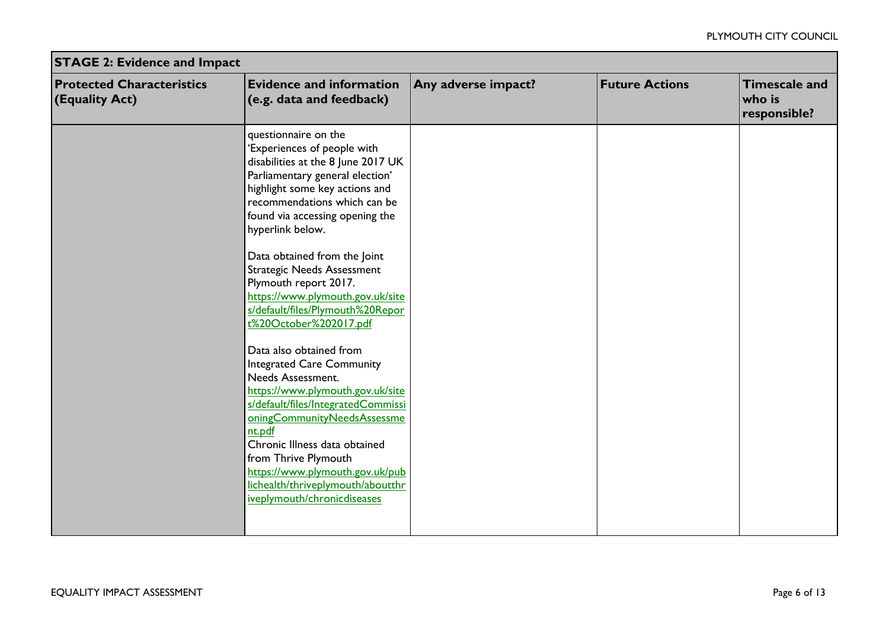| <b>STAGE 2: Evidence and Impact</b>                |                                                                                                                                                                                                                                                                                                                                                                                                                                                                                                                                                                                                                                                                                                                                                                                                                              |                     |                       |                                                |  |
|----------------------------------------------------|------------------------------------------------------------------------------------------------------------------------------------------------------------------------------------------------------------------------------------------------------------------------------------------------------------------------------------------------------------------------------------------------------------------------------------------------------------------------------------------------------------------------------------------------------------------------------------------------------------------------------------------------------------------------------------------------------------------------------------------------------------------------------------------------------------------------------|---------------------|-----------------------|------------------------------------------------|--|
| <b>Protected Characteristics</b><br>(Equality Act) | <b>Evidence and information</b><br>(e.g. data and feedback)                                                                                                                                                                                                                                                                                                                                                                                                                                                                                                                                                                                                                                                                                                                                                                  | Any adverse impact? | <b>Future Actions</b> | <b>Timescale and</b><br>who is<br>responsible? |  |
|                                                    | questionnaire on the<br>'Experiences of people with<br>disabilities at the 8 June 2017 UK<br>Parliamentary general election'<br>highlight some key actions and<br>recommendations which can be<br>found via accessing opening the<br>hyperlink below.<br>Data obtained from the Joint<br><b>Strategic Needs Assessment</b><br>Plymouth report 2017.<br>https://www.plymouth.gov.uk/site<br>s/default/files/Plymouth%20Repor<br>t%20October%202017.pdf<br>Data also obtained from<br><b>Integrated Care Community</b><br>Needs Assessment.<br>https://www.plymouth.gov.uk/site<br>s/default/files/IntegratedCommissi<br>oningCommunityNeedsAssessme<br>nt.pdf<br>Chronic Illness data obtained<br>from Thrive Plymouth<br>https://www.plymouth.gov.uk/pub<br>lichealth/thriveplymouth/aboutthr<br>iveplymouth/chronicdiseases |                     |                       |                                                |  |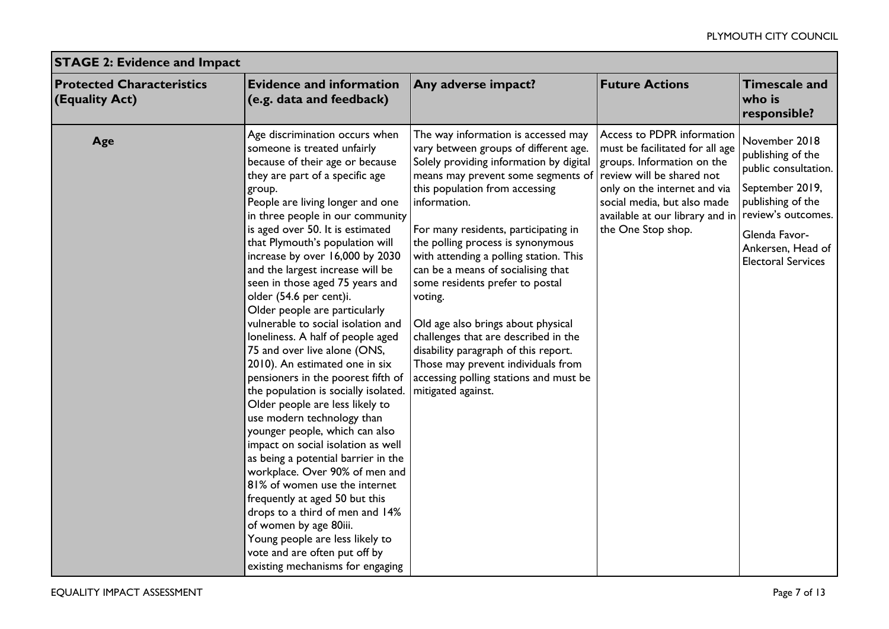| <b>STAGE 2: Evidence and Impact</b>                |                                                                                                                                                                                                                                                                                                                                                                                                                                                                                                                                                                                                                                                                                                                                                                                                                                                                                                                                                                                                                                                                                                                                                         |                                                                                                                                                                                                                                                                                                                                                                                                                                                                                                                                                                                                                                                        |                                                                                                                                                                                                                                                  |                                                                                                                                                                                             |  |
|----------------------------------------------------|---------------------------------------------------------------------------------------------------------------------------------------------------------------------------------------------------------------------------------------------------------------------------------------------------------------------------------------------------------------------------------------------------------------------------------------------------------------------------------------------------------------------------------------------------------------------------------------------------------------------------------------------------------------------------------------------------------------------------------------------------------------------------------------------------------------------------------------------------------------------------------------------------------------------------------------------------------------------------------------------------------------------------------------------------------------------------------------------------------------------------------------------------------|--------------------------------------------------------------------------------------------------------------------------------------------------------------------------------------------------------------------------------------------------------------------------------------------------------------------------------------------------------------------------------------------------------------------------------------------------------------------------------------------------------------------------------------------------------------------------------------------------------------------------------------------------------|--------------------------------------------------------------------------------------------------------------------------------------------------------------------------------------------------------------------------------------------------|---------------------------------------------------------------------------------------------------------------------------------------------------------------------------------------------|--|
| <b>Protected Characteristics</b><br>(Equality Act) | <b>Evidence and information</b><br>(e.g. data and feedback)                                                                                                                                                                                                                                                                                                                                                                                                                                                                                                                                                                                                                                                                                                                                                                                                                                                                                                                                                                                                                                                                                             | Any adverse impact?                                                                                                                                                                                                                                                                                                                                                                                                                                                                                                                                                                                                                                    | <b>Future Actions</b>                                                                                                                                                                                                                            | <b>Timescale and</b><br>who is<br>responsible?                                                                                                                                              |  |
| Age                                                | Age discrimination occurs when<br>someone is treated unfairly<br>because of their age or because<br>they are part of a specific age<br>group.<br>People are living longer and one<br>in three people in our community<br>is aged over 50. It is estimated<br>that Plymouth's population will<br>increase by over 16,000 by 2030<br>and the largest increase will be<br>seen in those aged 75 years and<br>older (54.6 per cent)i.<br>Older people are particularly<br>vulnerable to social isolation and<br>loneliness. A half of people aged<br>75 and over live alone (ONS,<br>2010). An estimated one in six<br>pensioners in the poorest fifth of<br>the population is socially isolated.<br>Older people are less likely to<br>use modern technology than<br>younger people, which can also<br>impact on social isolation as well<br>as being a potential barrier in the<br>workplace. Over 90% of men and<br>81% of women use the internet<br>frequently at aged 50 but this<br>drops to a third of men and 14%<br>of women by age 80iii.<br>Young people are less likely to<br>vote and are often put off by<br>existing mechanisms for engaging | The way information is accessed may<br>vary between groups of different age.<br>Solely providing information by digital<br>means may prevent some segments of<br>this population from accessing<br>information.<br>For many residents, participating in<br>the polling process is synonymous<br>with attending a polling station. This<br>can be a means of socialising that<br>some residents prefer to postal<br>voting.<br>Old age also brings about physical<br>challenges that are described in the<br>disability paragraph of this report.<br>Those may prevent individuals from<br>accessing polling stations and must be<br>mitigated against. | Access to PDPR information<br>must be facilitated for all age<br>groups. Information on the<br>review will be shared not<br>only on the internet and via<br>social media, but also made<br>available at our library and in<br>the One Stop shop. | November 2018<br>publishing of the<br>public consultation.<br>September 2019,<br>publishing of the<br>review's outcomes.<br>Glenda Favor-<br>Ankersen, Head of<br><b>Electoral Services</b> |  |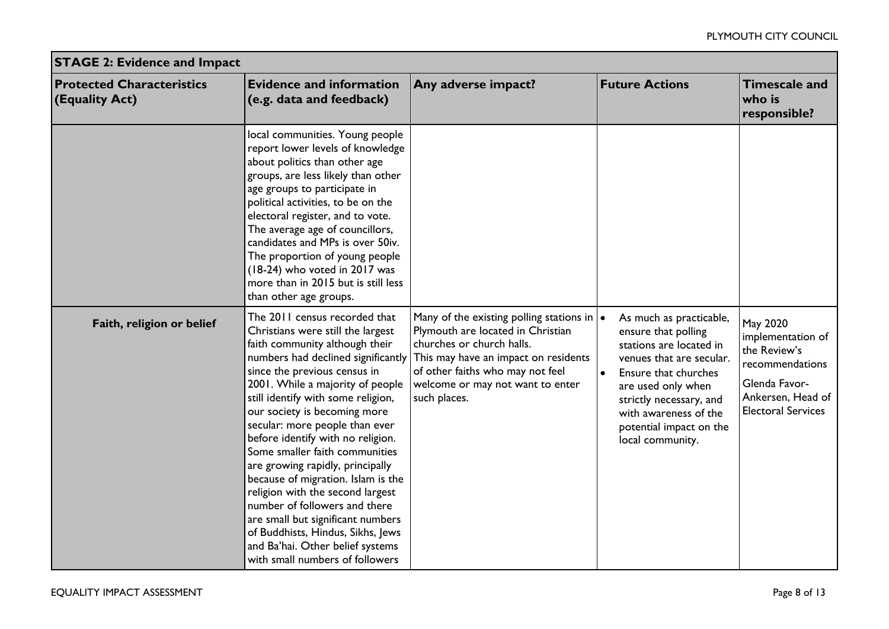| <b>STAGE 2: Evidence and Impact</b>                |                                                                                                                                                                                                                                                                                                                                                                                                                                                                                                                                                                                                                                                                                               |                                                                                                                                                                                                                                                    |                                                                                                                                                                                                                                                                     |                                                                                                                                     |  |
|----------------------------------------------------|-----------------------------------------------------------------------------------------------------------------------------------------------------------------------------------------------------------------------------------------------------------------------------------------------------------------------------------------------------------------------------------------------------------------------------------------------------------------------------------------------------------------------------------------------------------------------------------------------------------------------------------------------------------------------------------------------|----------------------------------------------------------------------------------------------------------------------------------------------------------------------------------------------------------------------------------------------------|---------------------------------------------------------------------------------------------------------------------------------------------------------------------------------------------------------------------------------------------------------------------|-------------------------------------------------------------------------------------------------------------------------------------|--|
| <b>Protected Characteristics</b><br>(Equality Act) | <b>Evidence and information</b><br>(e.g. data and feedback)                                                                                                                                                                                                                                                                                                                                                                                                                                                                                                                                                                                                                                   | Any adverse impact?                                                                                                                                                                                                                                | <b>Future Actions</b>                                                                                                                                                                                                                                               | <b>Timescale and</b><br>who is<br>responsible?                                                                                      |  |
|                                                    | local communities. Young people<br>report lower levels of knowledge<br>about politics than other age<br>groups, are less likely than other<br>age groups to participate in<br>political activities, to be on the<br>electoral register, and to vote.<br>The average age of councillors,<br>candidates and MPs is over 50iv.<br>The proportion of young people<br>(18-24) who voted in 2017 was<br>more than in 2015 but is still less<br>than other age groups.                                                                                                                                                                                                                               |                                                                                                                                                                                                                                                    |                                                                                                                                                                                                                                                                     |                                                                                                                                     |  |
| Faith, religion or belief                          | The 2011 census recorded that<br>Christians were still the largest<br>faith community although their<br>numbers had declined significantly<br>since the previous census in<br>2001. While a majority of people<br>still identify with some religion,<br>our society is becoming more<br>secular: more people than ever<br>before identify with no religion.<br>Some smaller faith communities<br>are growing rapidly, principally<br>because of migration. Islam is the<br>religion with the second largest<br>number of followers and there<br>are small but significant numbers<br>of Buddhists, Hindus, Sikhs, Jews<br>and Ba'hai. Other belief systems<br>with small numbers of followers | Many of the existing polling stations in $\cdot$<br>Plymouth are located in Christian<br>churches or church halls.<br>This may have an impact on residents<br>of other faiths who may not feel<br>welcome or may not want to enter<br>such places. | As much as practicable,<br>ensure that polling<br>stations are located in<br>venues that are secular.<br>$\bullet$<br>Ensure that churches<br>are used only when<br>strictly necessary, and<br>with awareness of the<br>potential impact on the<br>local community. | May 2020<br>implementation of<br>the Review's<br>recommendations<br>Glenda Favor-<br>Ankersen, Head of<br><b>Electoral Services</b> |  |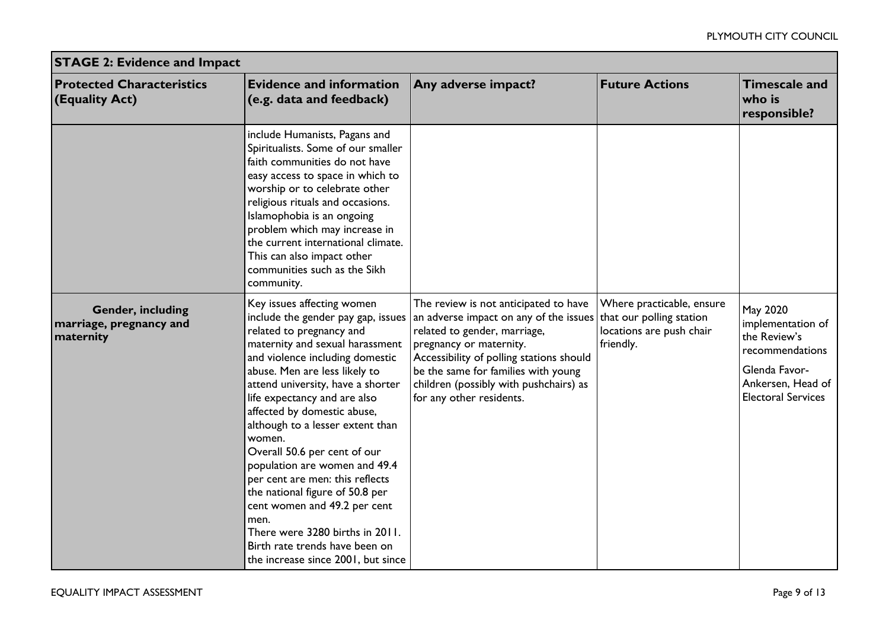| <b>STAGE 2: Evidence and Impact</b>                              |                                                                                                                                                                                                                                                                                                                                                                                                                                                                                                                                                                                                                                                 |                                                                                                                                                                                                                                                                                                     |                                                                                                |                                                                                                                                     |  |
|------------------------------------------------------------------|-------------------------------------------------------------------------------------------------------------------------------------------------------------------------------------------------------------------------------------------------------------------------------------------------------------------------------------------------------------------------------------------------------------------------------------------------------------------------------------------------------------------------------------------------------------------------------------------------------------------------------------------------|-----------------------------------------------------------------------------------------------------------------------------------------------------------------------------------------------------------------------------------------------------------------------------------------------------|------------------------------------------------------------------------------------------------|-------------------------------------------------------------------------------------------------------------------------------------|--|
| <b>Protected Characteristics</b><br>$ $ (Equality Act)           | <b>Evidence and information</b><br>(e.g. data and feedback)                                                                                                                                                                                                                                                                                                                                                                                                                                                                                                                                                                                     | Any adverse impact?                                                                                                                                                                                                                                                                                 | <b>Future Actions</b>                                                                          | <b>Timescale and</b><br>who is<br>responsible?                                                                                      |  |
|                                                                  | include Humanists, Pagans and<br>Spiritualists. Some of our smaller<br>faith communities do not have<br>easy access to space in which to<br>worship or to celebrate other<br>religious rituals and occasions.<br>Islamophobia is an ongoing<br>problem which may increase in<br>the current international climate.<br>This can also impact other<br>communities such as the Sikh<br>community.                                                                                                                                                                                                                                                  |                                                                                                                                                                                                                                                                                                     |                                                                                                |                                                                                                                                     |  |
| <b>Gender, including</b><br>marriage, pregnancy and<br>maternity | Key issues affecting women<br>include the gender pay gap, issues<br>related to pregnancy and<br>maternity and sexual harassment<br>and violence including domestic<br>abuse. Men are less likely to<br>attend university, have a shorter<br>life expectancy and are also<br>affected by domestic abuse,<br>although to a lesser extent than<br>women.<br>Overall 50.6 per cent of our<br>population are women and 49.4<br>per cent are men: this reflects<br>the national figure of 50.8 per<br>cent women and 49.2 per cent<br>men.<br>There were 3280 births in 2011.<br>Birth rate trends have been on<br>the increase since 2001, but since | The review is not anticipated to have<br>an adverse impact on any of the issues<br>related to gender, marriage,<br>pregnancy or maternity.<br>Accessibility of polling stations should<br>be the same for families with young<br>children (possibly with pushchairs) as<br>for any other residents. | Where practicable, ensure<br>that our polling station<br>locations are push chair<br>friendly. | May 2020<br>implementation of<br>the Review's<br>recommendations<br>Glenda Favor-<br>Ankersen, Head of<br><b>Electoral Services</b> |  |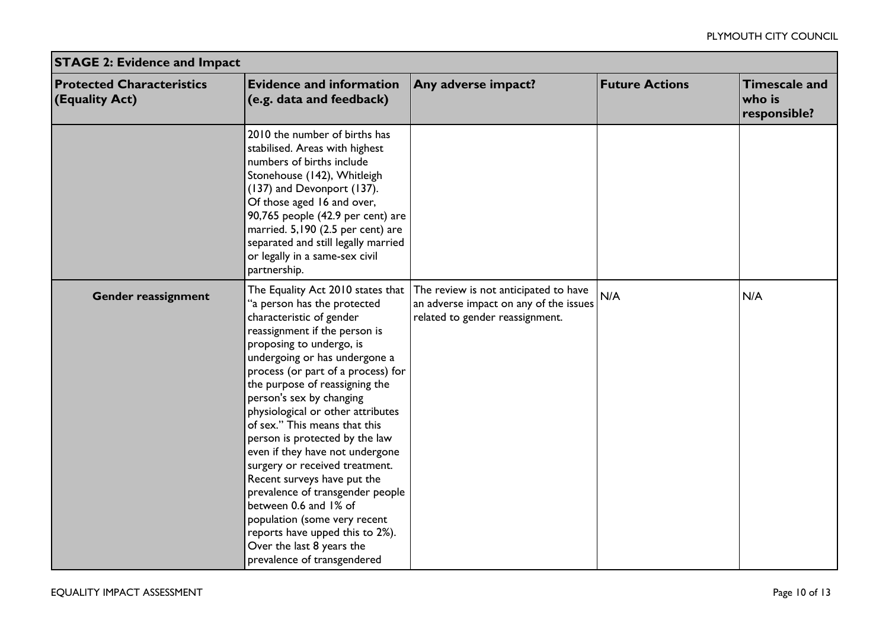| <b>STAGE 2: Evidence and Impact</b>                    |                                                                                                                                                                                                                                                                                                                                                                                                                                                                                                                                                                                                                                                                                                        |                                                                                                                    |                       |                                                |  |
|--------------------------------------------------------|--------------------------------------------------------------------------------------------------------------------------------------------------------------------------------------------------------------------------------------------------------------------------------------------------------------------------------------------------------------------------------------------------------------------------------------------------------------------------------------------------------------------------------------------------------------------------------------------------------------------------------------------------------------------------------------------------------|--------------------------------------------------------------------------------------------------------------------|-----------------------|------------------------------------------------|--|
| <b>Protected Characteristics</b><br>$ $ (Equality Act) | <b>Evidence and information</b><br>(e.g. data and feedback)                                                                                                                                                                                                                                                                                                                                                                                                                                                                                                                                                                                                                                            | Any adverse impact?                                                                                                | <b>Future Actions</b> | <b>Timescale and</b><br>who is<br>responsible? |  |
|                                                        | 2010 the number of births has<br>stabilised. Areas with highest<br>numbers of births include<br>Stonehouse (142), Whitleigh<br>(137) and Devonport (137).<br>Of those aged 16 and over,<br>90,765 people (42.9 per cent) are<br>married. 5,190 (2.5 per cent) are<br>separated and still legally married<br>or legally in a same-sex civil<br>partnership.                                                                                                                                                                                                                                                                                                                                             |                                                                                                                    |                       |                                                |  |
| Gender reassignment                                    | The Equality Act 2010 states that<br>"a person has the protected<br>characteristic of gender<br>reassignment if the person is<br>proposing to undergo, is<br>undergoing or has undergone a<br>process (or part of a process) for<br>the purpose of reassigning the<br>person's sex by changing<br>physiological or other attributes<br>of sex." This means that this<br>person is protected by the law<br>even if they have not undergone<br>surgery or received treatment.<br>Recent surveys have put the<br>prevalence of transgender people<br>between 0.6 and 1% of<br>population (some very recent<br>reports have upped this to 2%).<br>Over the last 8 years the<br>prevalence of transgendered | The review is not anticipated to have<br>an adverse impact on any of the issues<br>related to gender reassignment. | N/A                   | N/A                                            |  |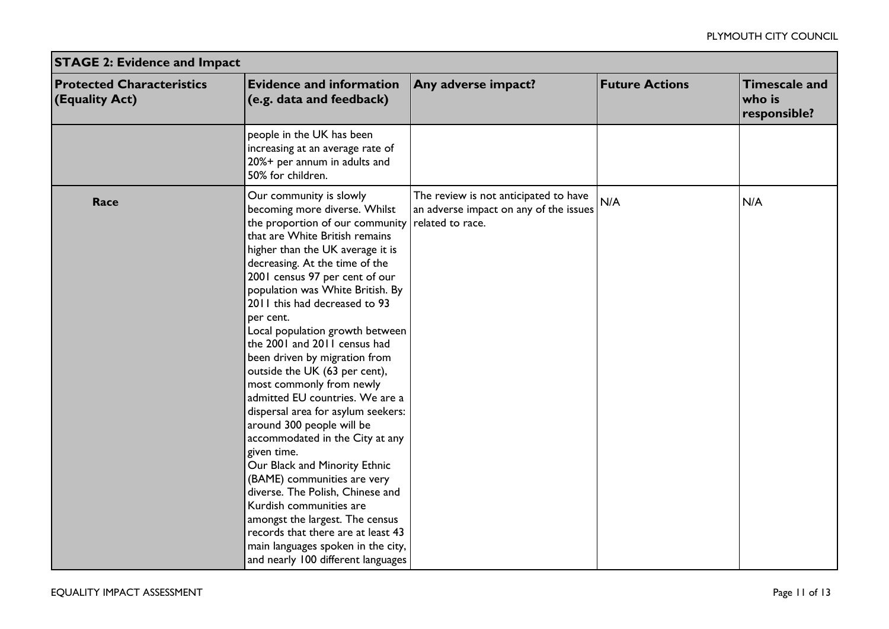| <b>STAGE 2: Evidence and Impact</b>                |                                                                                                                                                                                                                                                                                                                                                                                                                                                                                                                                                                                                                                                                                                                                                                                                                                                                                                                                      |                                                                                                     |                       |                                                |  |
|----------------------------------------------------|--------------------------------------------------------------------------------------------------------------------------------------------------------------------------------------------------------------------------------------------------------------------------------------------------------------------------------------------------------------------------------------------------------------------------------------------------------------------------------------------------------------------------------------------------------------------------------------------------------------------------------------------------------------------------------------------------------------------------------------------------------------------------------------------------------------------------------------------------------------------------------------------------------------------------------------|-----------------------------------------------------------------------------------------------------|-----------------------|------------------------------------------------|--|
| <b>Protected Characteristics</b><br>(Equality Act) | <b>Evidence and information</b><br>(e.g. data and feedback)                                                                                                                                                                                                                                                                                                                                                                                                                                                                                                                                                                                                                                                                                                                                                                                                                                                                          | Any adverse impact?                                                                                 | <b>Future Actions</b> | <b>Timescale and</b><br>who is<br>responsible? |  |
|                                                    | people in the UK has been<br>increasing at an average rate of<br>20%+ per annum in adults and<br>50% for children.                                                                                                                                                                                                                                                                                                                                                                                                                                                                                                                                                                                                                                                                                                                                                                                                                   |                                                                                                     |                       |                                                |  |
| Race                                               | Our community is slowly<br>becoming more diverse. Whilst<br>the proportion of our community<br>that are White British remains<br>higher than the UK average it is<br>decreasing. At the time of the<br>2001 census 97 per cent of our<br>population was White British. By<br>2011 this had decreased to 93<br>per cent.<br>Local population growth between<br>the 2001 and 2011 census had<br>been driven by migration from<br>outside the UK (63 per cent),<br>most commonly from newly<br>admitted EU countries. We are a<br>dispersal area for asylum seekers:<br>around 300 people will be<br>accommodated in the City at any<br>given time.<br>Our Black and Minority Ethnic<br>(BAME) communities are very<br>diverse. The Polish, Chinese and<br>Kurdish communities are<br>amongst the largest. The census<br>records that there are at least 43<br>main languages spoken in the city,<br>and nearly 100 different languages | The review is not anticipated to have<br>an adverse impact on any of the issues<br>related to race. | N/A                   | N/A                                            |  |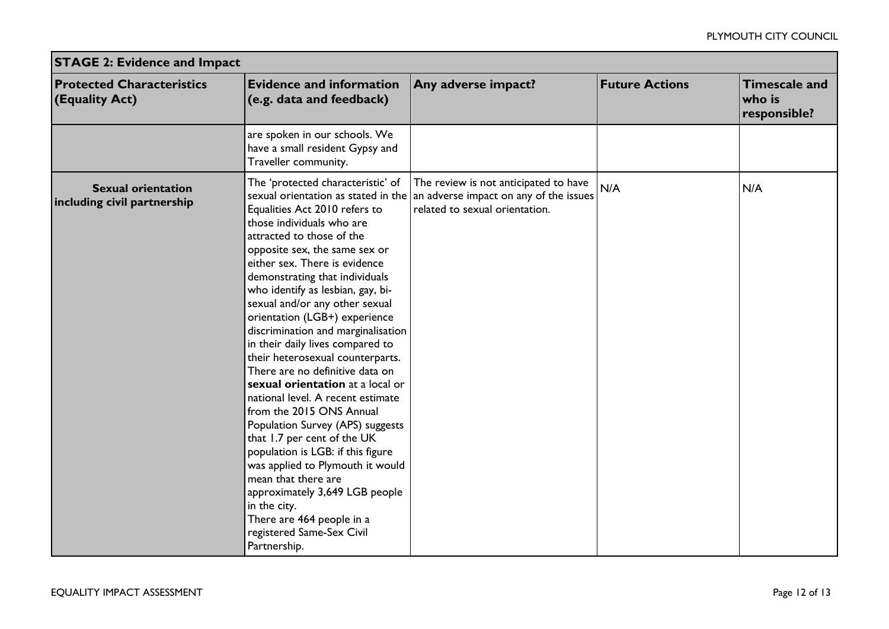| <b>STAGE 2: Evidence and Impact</b>                      |                                                                                                                                                                                                                                                                                                                                                                                                                                                                                                                                                                                                                                                                                                                                                                                                                                                                                                                                      |                                                                                                                   |                       |                                                |  |  |  |
|----------------------------------------------------------|--------------------------------------------------------------------------------------------------------------------------------------------------------------------------------------------------------------------------------------------------------------------------------------------------------------------------------------------------------------------------------------------------------------------------------------------------------------------------------------------------------------------------------------------------------------------------------------------------------------------------------------------------------------------------------------------------------------------------------------------------------------------------------------------------------------------------------------------------------------------------------------------------------------------------------------|-------------------------------------------------------------------------------------------------------------------|-----------------------|------------------------------------------------|--|--|--|
| <b>Protected Characteristics</b><br>(Equality Act)       | <b>Evidence and information</b><br>(e.g. data and feedback)                                                                                                                                                                                                                                                                                                                                                                                                                                                                                                                                                                                                                                                                                                                                                                                                                                                                          | Any adverse impact?                                                                                               | <b>Future Actions</b> | <b>Timescale and</b><br>who is<br>responsible? |  |  |  |
|                                                          | are spoken in our schools. We<br>have a small resident Gypsy and<br>Traveller community.                                                                                                                                                                                                                                                                                                                                                                                                                                                                                                                                                                                                                                                                                                                                                                                                                                             |                                                                                                                   |                       |                                                |  |  |  |
| <b>Sexual orientation</b><br>including civil partnership | The 'protected characteristic' of<br>sexual orientation as stated in the<br>Equalities Act 2010 refers to<br>those individuals who are<br>attracted to those of the<br>opposite sex, the same sex or<br>either sex. There is evidence<br>demonstrating that individuals<br>who identify as lesbian, gay, bi-<br>sexual and/or any other sexual<br>orientation (LGB+) experience<br>discrimination and marginalisation<br>in their daily lives compared to<br>their heterosexual counterparts.<br>There are no definitive data on<br>sexual orientation at a local or<br>national level. A recent estimate<br>from the 2015 ONS Annual<br>Population Survey (APS) suggests<br>that 1.7 per cent of the UK<br>population is LGB: if this figure<br>was applied to Plymouth it would<br>mean that there are<br>approximately 3,649 LGB people<br>in the city.<br>There are 464 people in a<br>registered Same-Sex Civil<br>Partnership. | The review is not anticipated to have<br>an adverse impact on any of the issues<br>related to sexual orientation. | N/A                   | N/A                                            |  |  |  |